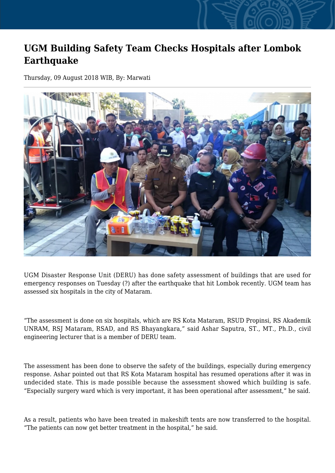## **UGM Building Safety Team Checks Hospitals after Lombok Earthquake**

Thursday, 09 August 2018 WIB, By: Marwati



UGM Disaster Response Unit (DERU) has done safety assessment of buildings that are used for emergency responses on Tuesday (?) after the earthquake that hit Lombok recently. UGM team has assessed six hospitals in the city of Mataram.

"The assessment is done on six hospitals, which are RS Kota Mataram, RSUD Propinsi, RS Akademik UNRAM, RSJ Mataram, RSAD, and RS Bhayangkara," said Ashar Saputra, ST., MT., Ph.D., civil engineering lecturer that is a member of DERU team.

The assessment has been done to observe the safety of the buildings, especially during emergency response. Ashar pointed out that RS Kota Mataram hospital has resumed operations after it was in undecided state. This is made possible because the assessment showed which building is safe. "Especially surgery ward which is very important, it has been operational after assessment," he said.

As a result, patients who have been treated in makeshift tents are now transferred to the hospital. "The patients can now get better treatment in the hospital," he said.